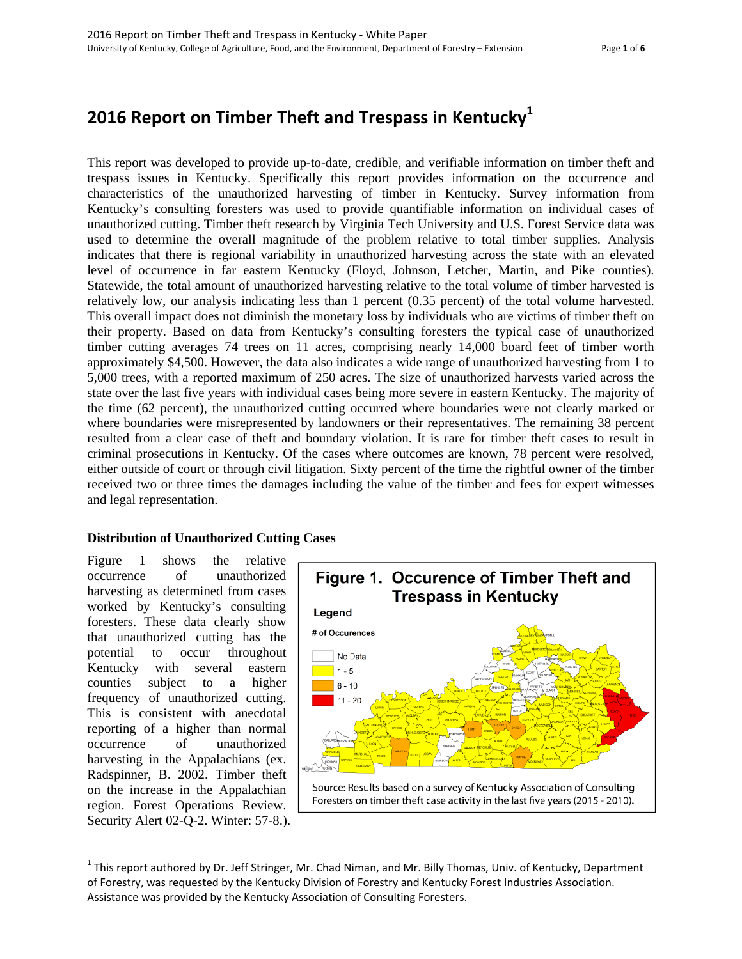# **2016 Report on Timber Theft and Trespass in Kentucky1**

This report was developed to provide up-to-date, credible, and verifiable information on timber theft and trespass issues in Kentucky. Specifically this report provides information on the occurrence and characteristics of the unauthorized harvesting of timber in Kentucky. Survey information from Kentucky's consulting foresters was used to provide quantifiable information on individual cases of unauthorized cutting. Timber theft research by Virginia Tech University and U.S. Forest Service data was used to determine the overall magnitude of the problem relative to total timber supplies. Analysis indicates that there is regional variability in unauthorized harvesting across the state with an elevated level of occurrence in far eastern Kentucky (Floyd, Johnson, Letcher, Martin, and Pike counties). Statewide, the total amount of unauthorized harvesting relative to the total volume of timber harvested is relatively low, our analysis indicating less than 1 percent (0.35 percent) of the total volume harvested. This overall impact does not diminish the monetary loss by individuals who are victims of timber theft on their property. Based on data from Kentucky's consulting foresters the typical case of unauthorized timber cutting averages 74 trees on 11 acres, comprising nearly 14,000 board feet of timber worth approximately \$4,500. However, the data also indicates a wide range of unauthorized harvesting from 1 to 5,000 trees, with a reported maximum of 250 acres. The size of unauthorized harvests varied across the state over the last five years with individual cases being more severe in eastern Kentucky. The majority of the time (62 percent), the unauthorized cutting occurred where boundaries were not clearly marked or where boundaries were misrepresented by landowners or their representatives. The remaining 38 percent resulted from a clear case of theft and boundary violation. It is rare for timber theft cases to result in criminal prosecutions in Kentucky. Of the cases where outcomes are known, 78 percent were resolved, either outside of court or through civil litigation. Sixty percent of the time the rightful owner of the timber received two or three times the damages including the value of the timber and fees for expert witnesses and legal representation.

# **Distribution of Unauthorized Cutting Cases**

Figure 1 shows the relative occurrence of unauthorized harvesting as determined from cases worked by Kentucky's consulting foresters. These data clearly show that unauthorized cutting has the potential to occur throughout Kentucky with several eastern counties subject to a higher frequency of unauthorized cutting. This is consistent with anecdotal reporting of a higher than normal occurrence of unauthorized harvesting in the Appalachians (ex. Radspinner, B. 2002. Timber theft on the increase in the Appalachian region. Forest Operations Review. Security Alert 02-Q-2. Winter: 57-8.).



 $1$ This report authored by Dr. Jeff Stringer, Mr. Chad Niman, and Mr. Billy Thomas, Univ. of Kentucky, Department of Forestry, was requested by the Kentucky Division of Forestry and Kentucky Forest Industries Association. Assistance was provided by the Kentucky Association of Consulting Foresters.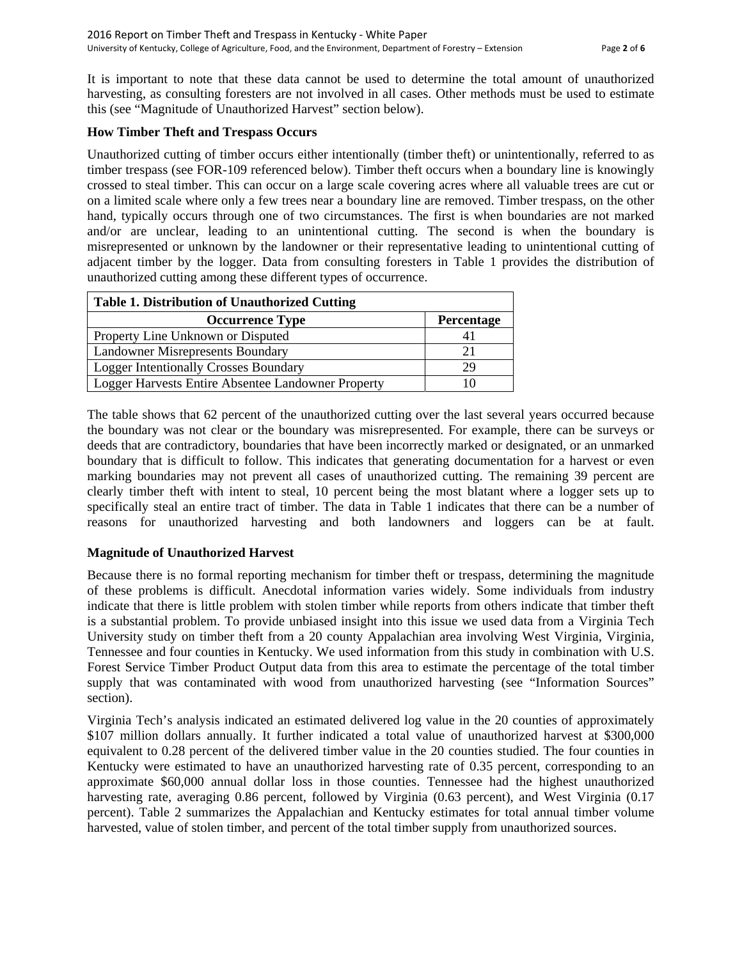It is important to note that these data cannot be used to determine the total amount of unauthorized harvesting, as consulting foresters are not involved in all cases. Other methods must be used to estimate this (see "Magnitude of Unauthorized Harvest" section below).

#### **How Timber Theft and Trespass Occurs**

Unauthorized cutting of timber occurs either intentionally (timber theft) or unintentionally, referred to as timber trespass (see FOR-109 referenced below). Timber theft occurs when a boundary line is knowingly crossed to steal timber. This can occur on a large scale covering acres where all valuable trees are cut or on a limited scale where only a few trees near a boundary line are removed. Timber trespass, on the other hand, typically occurs through one of two circumstances. The first is when boundaries are not marked and/or are unclear, leading to an unintentional cutting. The second is when the boundary is misrepresented or unknown by the landowner or their representative leading to unintentional cutting of adjacent timber by the logger. Data from consulting foresters in Table 1 provides the distribution of unauthorized cutting among these different types of occurrence.

| <b>Table 1. Distribution of Unauthorized Cutting</b> |            |
|------------------------------------------------------|------------|
| <b>Occurrence Type</b>                               | Percentage |
| Property Line Unknown or Disputed                    |            |
| <b>Landowner Misrepresents Boundary</b>              | 21         |
| <b>Logger Intentionally Crosses Boundary</b>         | 29         |
| Logger Harvests Entire Absentee Landowner Property   |            |

The table shows that 62 percent of the unauthorized cutting over the last several years occurred because the boundary was not clear or the boundary was misrepresented. For example, there can be surveys or deeds that are contradictory, boundaries that have been incorrectly marked or designated, or an unmarked boundary that is difficult to follow. This indicates that generating documentation for a harvest or even marking boundaries may not prevent all cases of unauthorized cutting. The remaining 39 percent are clearly timber theft with intent to steal, 10 percent being the most blatant where a logger sets up to specifically steal an entire tract of timber. The data in Table 1 indicates that there can be a number of reasons for unauthorized harvesting and both landowners and loggers can be at fault.

# **Magnitude of Unauthorized Harvest**

Because there is no formal reporting mechanism for timber theft or trespass, determining the magnitude of these problems is difficult. Anecdotal information varies widely. Some individuals from industry indicate that there is little problem with stolen timber while reports from others indicate that timber theft is a substantial problem. To provide unbiased insight into this issue we used data from a Virginia Tech University study on timber theft from a 20 county Appalachian area involving West Virginia, Virginia, Tennessee and four counties in Kentucky. We used information from this study in combination with U.S. Forest Service Timber Product Output data from this area to estimate the percentage of the total timber supply that was contaminated with wood from unauthorized harvesting (see "Information Sources" section).

Virginia Tech's analysis indicated an estimated delivered log value in the 20 counties of approximately \$107 million dollars annually. It further indicated a total value of unauthorized harvest at \$300,000 equivalent to 0.28 percent of the delivered timber value in the 20 counties studied. The four counties in Kentucky were estimated to have an unauthorized harvesting rate of 0.35 percent, corresponding to an approximate \$60,000 annual dollar loss in those counties. Tennessee had the highest unauthorized harvesting rate, averaging 0.86 percent, followed by Virginia (0.63 percent), and West Virginia (0.17 percent). Table 2 summarizes the Appalachian and Kentucky estimates for total annual timber volume harvested, value of stolen timber, and percent of the total timber supply from unauthorized sources.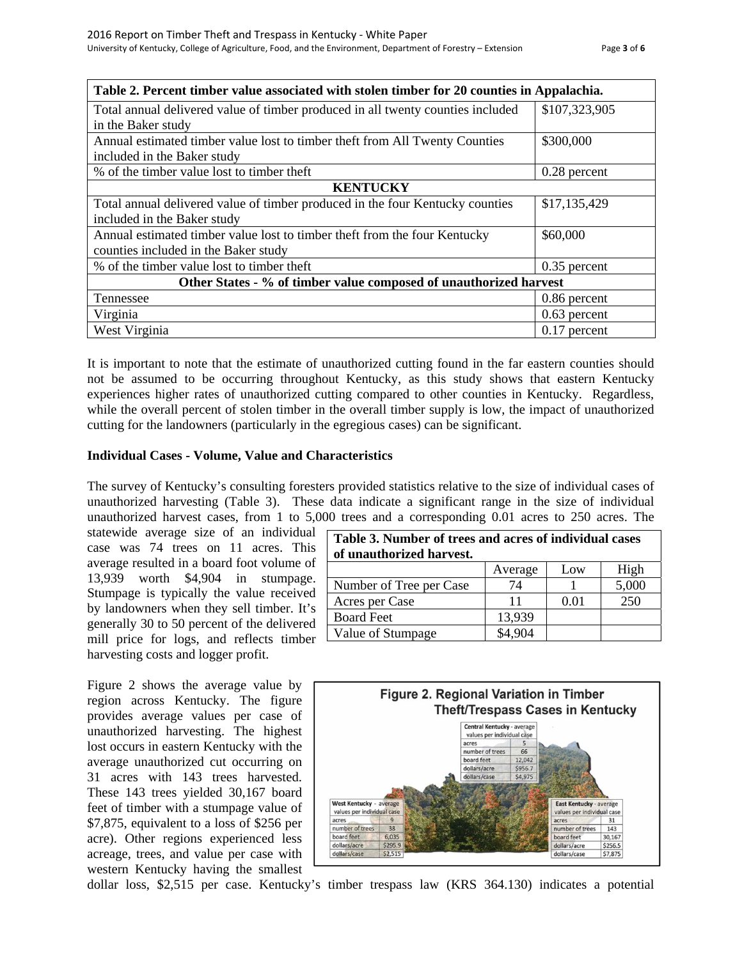| Table 2. Percent timber value associated with stolen timber for 20 counties in Appalachia. |                |  |
|--------------------------------------------------------------------------------------------|----------------|--|
| Total annual delivered value of timber produced in all twenty counties included            | \$107,323,905  |  |
| in the Baker study                                                                         |                |  |
| Annual estimated timber value lost to timber theft from All Twenty Counties                | \$300,000      |  |
| included in the Baker study                                                                |                |  |
| % of the timber value lost to timber theft                                                 | 0.28 percent   |  |
| <b>KENTUCKY</b>                                                                            |                |  |
| Total annual delivered value of timber produced in the four Kentucky counties              | \$17,135,429   |  |
| included in the Baker study                                                                |                |  |
| Annual estimated timber value lost to timber theft from the four Kentucky                  | \$60,000       |  |
| counties included in the Baker study                                                       |                |  |
| % of the timber value lost to timber theft                                                 | $0.35$ percent |  |
| Other States - % of timber value composed of unauthorized harvest                          |                |  |
| Tennessee                                                                                  | 0.86 percent   |  |
| Virginia                                                                                   | $0.63$ percent |  |
| West Virginia                                                                              | $0.17$ percent |  |

It is important to note that the estimate of unauthorized cutting found in the far eastern counties should not be assumed to be occurring throughout Kentucky, as this study shows that eastern Kentucky experiences higher rates of unauthorized cutting compared to other counties in Kentucky. Regardless, while the overall percent of stolen timber in the overall timber supply is low, the impact of unauthorized cutting for the landowners (particularly in the egregious cases) can be significant.

#### **Individual Cases - Volume, Value and Characteristics**

The survey of Kentucky's consulting foresters provided statistics relative to the size of individual cases of unauthorized harvesting (Table 3). These data indicate a significant range in the size of individual unauthorized harvest cases, from 1 to 5,000 trees and a corresponding 0.01 acres to 250 acres. The

statewide average size of an individual case was 74 trees on 11 acres. This average resulted in a board foot volume of 13,939 worth \$4,904 in stumpage. Stumpage is typically the value received by landowners when they sell timber. It's generally 30 to 50 percent of the delivered mill price for logs, and reflects timber harvesting costs and logger profit.

Figure 2 shows the average value by region across Kentucky. The figure provides average values per case of unauthorized harvesting. The highest lost occurs in eastern Kentucky with the average unauthorized cut occurring on 31 acres with 143 trees harvested. These 143 trees yielded 30,167 board feet of timber with a stumpage value of \$7,875, equivalent to a loss of \$256 per acre). Other regions experienced less acreage, trees, and value per case with western Kentucky having the smallest

| Table 3. Number of trees and acres of individual cases<br>of unauthorized harvest. |         |      |       |
|------------------------------------------------------------------------------------|---------|------|-------|
|                                                                                    | Average | Low  | High  |
| Number of Tree per Case                                                            | 74      |      | 5,000 |
| Acres per Case                                                                     | 11      | 0.01 | 250   |
| <b>Board Feet</b>                                                                  | 13,939  |      |       |
| Value of Stumpage                                                                  |         |      |       |



dollar loss, \$2,515 per case. Kentucky's timber trespass law (KRS 364.130) indicates a potential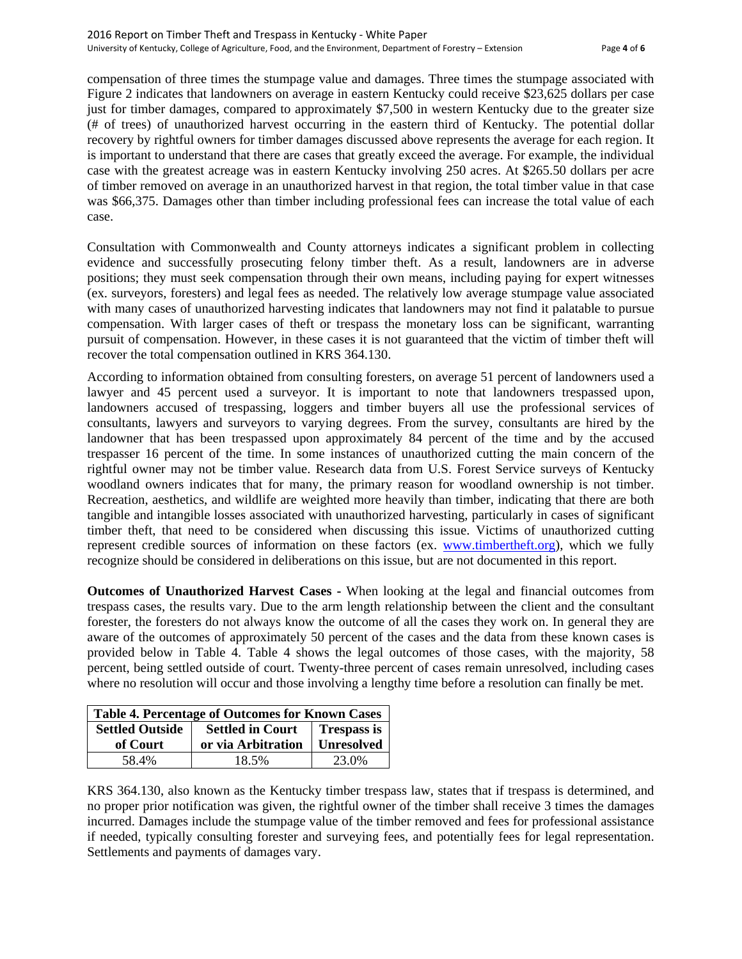compensation of three times the stumpage value and damages. Three times the stumpage associated with Figure 2 indicates that landowners on average in eastern Kentucky could receive \$23,625 dollars per case just for timber damages, compared to approximately \$7,500 in western Kentucky due to the greater size (# of trees) of unauthorized harvest occurring in the eastern third of Kentucky. The potential dollar recovery by rightful owners for timber damages discussed above represents the average for each region. It is important to understand that there are cases that greatly exceed the average. For example, the individual case with the greatest acreage was in eastern Kentucky involving 250 acres. At \$265.50 dollars per acre of timber removed on average in an unauthorized harvest in that region, the total timber value in that case was \$66,375. Damages other than timber including professional fees can increase the total value of each case.

Consultation with Commonwealth and County attorneys indicates a significant problem in collecting evidence and successfully prosecuting felony timber theft. As a result, landowners are in adverse positions; they must seek compensation through their own means, including paying for expert witnesses (ex. surveyors, foresters) and legal fees as needed. The relatively low average stumpage value associated with many cases of unauthorized harvesting indicates that landowners may not find it palatable to pursue compensation. With larger cases of theft or trespass the monetary loss can be significant, warranting pursuit of compensation. However, in these cases it is not guaranteed that the victim of timber theft will recover the total compensation outlined in KRS 364.130.

According to information obtained from consulting foresters, on average 51 percent of landowners used a lawyer and 45 percent used a surveyor. It is important to note that landowners trespassed upon, landowners accused of trespassing, loggers and timber buyers all use the professional services of consultants, lawyers and surveyors to varying degrees. From the survey, consultants are hired by the landowner that has been trespassed upon approximately 84 percent of the time and by the accused trespasser 16 percent of the time. In some instances of unauthorized cutting the main concern of the rightful owner may not be timber value. Research data from U.S. Forest Service surveys of Kentucky woodland owners indicates that for many, the primary reason for woodland ownership is not timber. Recreation, aesthetics, and wildlife are weighted more heavily than timber, indicating that there are both tangible and intangible losses associated with unauthorized harvesting, particularly in cases of significant timber theft, that need to be considered when discussing this issue. Victims of unauthorized cutting represent credible sources of information on these factors (ex. www.timbertheft.org), which we fully recognize should be considered in deliberations on this issue, but are not documented in this report.

**Outcomes of Unauthorized Harvest Cases -** When looking at the legal and financial outcomes from trespass cases, the results vary. Due to the arm length relationship between the client and the consultant forester, the foresters do not always know the outcome of all the cases they work on. In general they are aware of the outcomes of approximately 50 percent of the cases and the data from these known cases is provided below in Table 4. Table 4 shows the legal outcomes of those cases, with the majority, 58 percent, being settled outside of court. Twenty-three percent of cases remain unresolved, including cases where no resolution will occur and those involving a lengthy time before a resolution can finally be met.

| <b>Table 4. Percentage of Outcomes for Known Cases</b> |                                               |                   |
|--------------------------------------------------------|-----------------------------------------------|-------------------|
| <b>Settled Outside</b>                                 | <b>Settled in Court</b><br><b>Trespass is</b> |                   |
| of Court                                               | or via Arbitration                            | <b>Unresolved</b> |
| 58.4%                                                  | 18.5%                                         | 23.0%             |

KRS 364.130, also known as the Kentucky timber trespass law, states that if trespass is determined, and no proper prior notification was given, the rightful owner of the timber shall receive 3 times the damages incurred. Damages include the stumpage value of the timber removed and fees for professional assistance if needed, typically consulting forester and surveying fees, and potentially fees for legal representation. Settlements and payments of damages vary.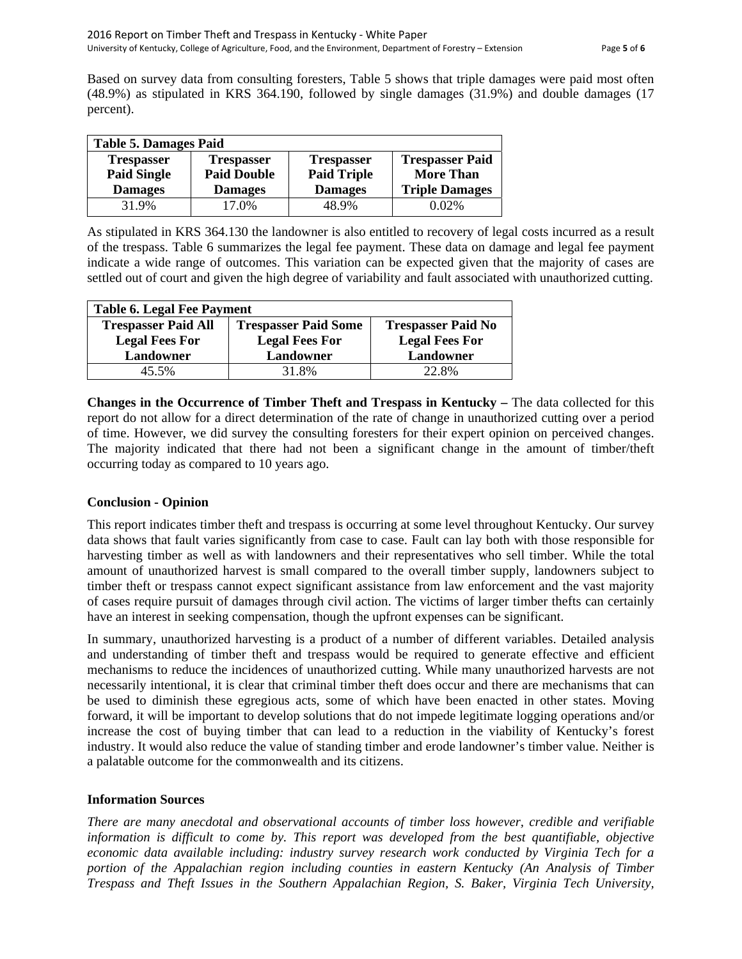Based on survey data from consulting foresters, Table 5 shows that triple damages were paid most often (48.9%) as stipulated in KRS 364.190, followed by single damages (31.9%) and double damages (17 percent).

| <b>Table 5. Damages Paid</b> |                    |                    |                        |
|------------------------------|--------------------|--------------------|------------------------|
| <b>Trespasser</b>            | <b>Trespasser</b>  | <b>Trespasser</b>  | <b>Trespasser Paid</b> |
| <b>Paid Single</b>           | <b>Paid Double</b> | <b>Paid Triple</b> | <b>More Than</b>       |
| <b>Damages</b>               | <b>Damages</b>     | <b>Damages</b>     | <b>Triple Damages</b>  |
| 31.9%                        | 17.0%              | 48.9%              | 0.02%                  |

As stipulated in KRS 364.130 the landowner is also entitled to recovery of legal costs incurred as a result of the trespass. Table 6 summarizes the legal fee payment. These data on damage and legal fee payment indicate a wide range of outcomes. This variation can be expected given that the majority of cases are settled out of court and given the high degree of variability and fault associated with unauthorized cutting.

| <b>Table 6. Legal Fee Payment</b> |                             |                           |
|-----------------------------------|-----------------------------|---------------------------|
| <b>Trespasser Paid All</b>        | <b>Trespasser Paid Some</b> | <b>Trespasser Paid No</b> |
| <b>Legal Fees For</b>             | <b>Legal Fees For</b>       | <b>Legal Fees For</b>     |
| Landowner                         | Landowner                   | Landowner                 |
| 45.5%                             | 31.8%                       | 22.8%                     |

**Changes in the Occurrence of Timber Theft and Trespass in Kentucky –** The data collected for this report do not allow for a direct determination of the rate of change in unauthorized cutting over a period of time. However, we did survey the consulting foresters for their expert opinion on perceived changes. The majority indicated that there had not been a significant change in the amount of timber/theft occurring today as compared to 10 years ago.

# **Conclusion - Opinion**

This report indicates timber theft and trespass is occurring at some level throughout Kentucky. Our survey data shows that fault varies significantly from case to case. Fault can lay both with those responsible for harvesting timber as well as with landowners and their representatives who sell timber. While the total amount of unauthorized harvest is small compared to the overall timber supply, landowners subject to timber theft or trespass cannot expect significant assistance from law enforcement and the vast majority of cases require pursuit of damages through civil action. The victims of larger timber thefts can certainly have an interest in seeking compensation, though the upfront expenses can be significant.

In summary, unauthorized harvesting is a product of a number of different variables. Detailed analysis and understanding of timber theft and trespass would be required to generate effective and efficient mechanisms to reduce the incidences of unauthorized cutting. While many unauthorized harvests are not necessarily intentional, it is clear that criminal timber theft does occur and there are mechanisms that can be used to diminish these egregious acts, some of which have been enacted in other states. Moving forward, it will be important to develop solutions that do not impede legitimate logging operations and/or increase the cost of buying timber that can lead to a reduction in the viability of Kentucky's forest industry. It would also reduce the value of standing timber and erode landowner's timber value. Neither is a palatable outcome for the commonwealth and its citizens.

#### **Information Sources**

*There are many anecdotal and observational accounts of timber loss however, credible and verifiable information is difficult to come by. This report was developed from the best quantifiable, objective economic data available including: industry survey research work conducted by Virginia Tech for a portion of the Appalachian region including counties in eastern Kentucky (An Analysis of Timber Trespass and Theft Issues in the Southern Appalachian Region, S. Baker, Virginia Tech University,*